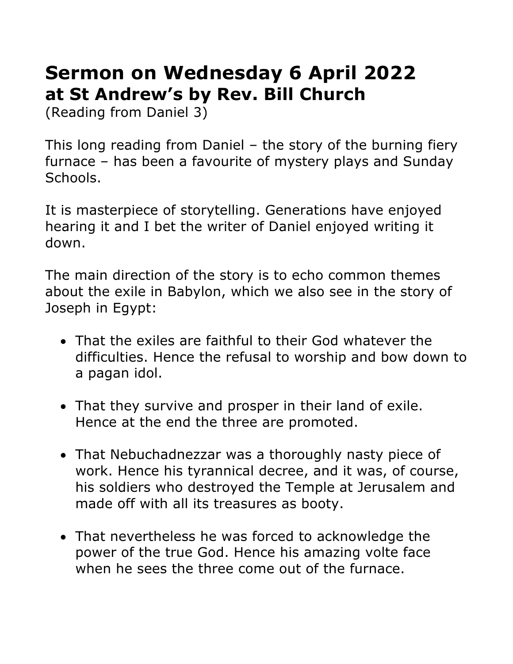## **Sermon on Wednesday 6 April 2022 at St Andrew's by Rev. Bill Church**

(Reading from Daniel 3)

This long reading from Daniel – the story of the burning fiery furnace – has been a favourite of mystery plays and Sunday Schools.

It is masterpiece of storytelling. Generations have enjoyed hearing it and I bet the writer of Daniel enjoyed writing it down.

The main direction of the story is to echo common themes about the exile in Babylon, which we also see in the story of Joseph in Egypt:

- That the exiles are faithful to their God whatever the difficulties. Hence the refusal to worship and bow down to a pagan idol.
- That they survive and prosper in their land of exile. Hence at the end the three are promoted.
- That Nebuchadnezzar was a thoroughly nasty piece of work. Hence his tyrannical decree, and it was, of course, his soldiers who destroyed the Temple at Jerusalem and made off with all its treasures as booty.
- That nevertheless he was forced to acknowledge the power of the true God. Hence his amazing volte face when he sees the three come out of the furnace.